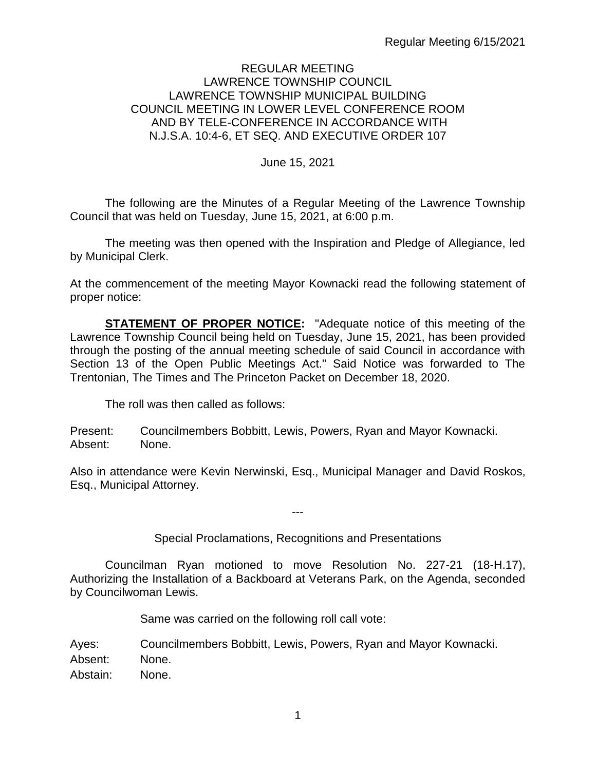### REGULAR MEETING LAWRENCE TOWNSHIP COUNCIL LAWRENCE TOWNSHIP MUNICIPAL BUILDING COUNCIL MEETING IN LOWER LEVEL CONFERENCE ROOM AND BY TELE-CONFERENCE IN ACCORDANCE WITH N.J.S.A. 10:4-6, ET SEQ. AND EXECUTIVE ORDER 107

### June 15, 2021

The following are the Minutes of a Regular Meeting of the Lawrence Township Council that was held on Tuesday, June 15, 2021, at 6:00 p.m.

The meeting was then opened with the Inspiration and Pledge of Allegiance, led by Municipal Clerk.

At the commencement of the meeting Mayor Kownacki read the following statement of proper notice:

**STATEMENT OF PROPER NOTICE:** "Adequate notice of this meeting of the Lawrence Township Council being held on Tuesday, June 15, 2021, has been provided through the posting of the annual meeting schedule of said Council in accordance with Section 13 of the Open Public Meetings Act." Said Notice was forwarded to The Trentonian, The Times and The Princeton Packet on December 18, 2020.

The roll was then called as follows:

Present: Councilmembers Bobbitt, Lewis, Powers, Ryan and Mayor Kownacki. Absent: None.

Also in attendance were Kevin Nerwinski, Esq., Municipal Manager and David Roskos, Esq., Municipal Attorney.

---

### Special Proclamations, Recognitions and Presentations

Councilman Ryan motioned to move Resolution No. 227-21 (18-H.17), Authorizing the Installation of a Backboard at Veterans Park, on the Agenda, seconded by Councilwoman Lewis.

Same was carried on the following roll call vote:

Ayes: Councilmembers Bobbitt, Lewis, Powers, Ryan and Mayor Kownacki. Absent: None. Abstain: None.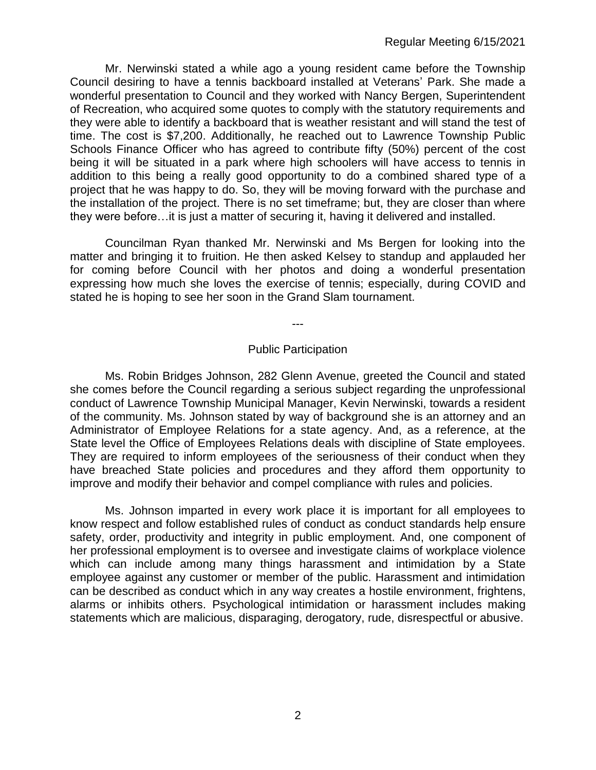Mr. Nerwinski stated a while ago a young resident came before the Township Council desiring to have a tennis backboard installed at Veterans' Park. She made a wonderful presentation to Council and they worked with Nancy Bergen, Superintendent of Recreation, who acquired some quotes to comply with the statutory requirements and they were able to identify a backboard that is weather resistant and will stand the test of time. The cost is \$7,200. Additionally, he reached out to Lawrence Township Public Schools Finance Officer who has agreed to contribute fifty (50%) percent of the cost being it will be situated in a park where high schoolers will have access to tennis in addition to this being a really good opportunity to do a combined shared type of a project that he was happy to do. So, they will be moving forward with the purchase and the installation of the project. There is no set timeframe; but, they are closer than where they were before…it is just a matter of securing it, having it delivered and installed.

Councilman Ryan thanked Mr. Nerwinski and Ms Bergen for looking into the matter and bringing it to fruition. He then asked Kelsey to standup and applauded her for coming before Council with her photos and doing a wonderful presentation expressing how much she loves the exercise of tennis; especially, during COVID and stated he is hoping to see her soon in the Grand Slam tournament.

---

#### Public Participation

Ms. Robin Bridges Johnson, 282 Glenn Avenue, greeted the Council and stated she comes before the Council regarding a serious subject regarding the unprofessional conduct of Lawrence Township Municipal Manager, Kevin Nerwinski, towards a resident of the community. Ms. Johnson stated by way of background she is an attorney and an Administrator of Employee Relations for a state agency. And, as a reference, at the State level the Office of Employees Relations deals with discipline of State employees. They are required to inform employees of the seriousness of their conduct when they have breached State policies and procedures and they afford them opportunity to improve and modify their behavior and compel compliance with rules and policies.

Ms. Johnson imparted in every work place it is important for all employees to know respect and follow established rules of conduct as conduct standards help ensure safety, order, productivity and integrity in public employment. And, one component of her professional employment is to oversee and investigate claims of workplace violence which can include among many things harassment and intimidation by a State employee against any customer or member of the public. Harassment and intimidation can be described as conduct which in any way creates a hostile environment, frightens, alarms or inhibits others. Psychological intimidation or harassment includes making statements which are malicious, disparaging, derogatory, rude, disrespectful or abusive.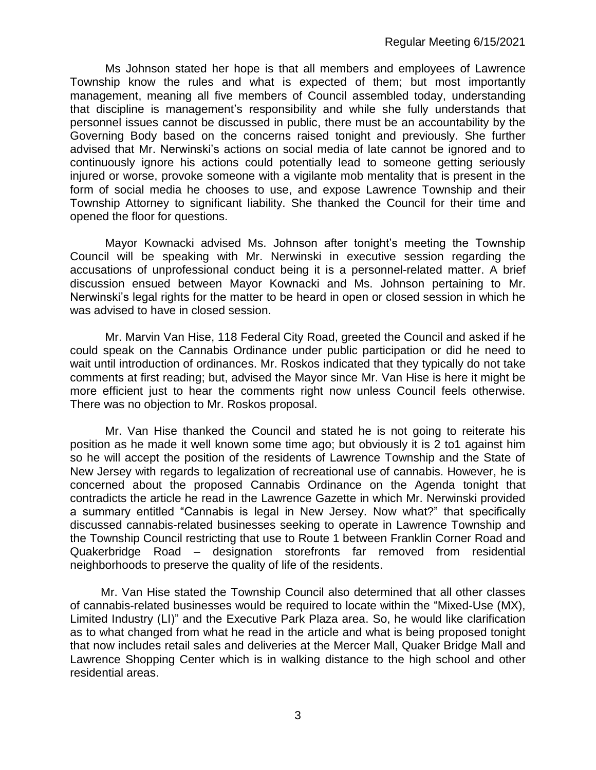Ms Johnson stated her hope is that all members and employees of Lawrence Township know the rules and what is expected of them; but most importantly management, meaning all five members of Council assembled today, understanding that discipline is management's responsibility and while she fully understands that personnel issues cannot be discussed in public, there must be an accountability by the Governing Body based on the concerns raised tonight and previously. She further advised that Mr. Nerwinski's actions on social media of late cannot be ignored and to continuously ignore his actions could potentially lead to someone getting seriously injured or worse, provoke someone with a vigilante mob mentality that is present in the form of social media he chooses to use, and expose Lawrence Township and their Township Attorney to significant liability. She thanked the Council for their time and opened the floor for questions.

Mayor Kownacki advised Ms. Johnson after tonight's meeting the Township Council will be speaking with Mr. Nerwinski in executive session regarding the accusations of unprofessional conduct being it is a personnel-related matter. A brief discussion ensued between Mayor Kownacki and Ms. Johnson pertaining to Mr. Nerwinski's legal rights for the matter to be heard in open or closed session in which he was advised to have in closed session.

Mr. Marvin Van Hise, 118 Federal City Road, greeted the Council and asked if he could speak on the Cannabis Ordinance under public participation or did he need to wait until introduction of ordinances. Mr. Roskos indicated that they typically do not take comments at first reading; but, advised the Mayor since Mr. Van Hise is here it might be more efficient just to hear the comments right now unless Council feels otherwise. There was no objection to Mr. Roskos proposal.

Mr. Van Hise thanked the Council and stated he is not going to reiterate his position as he made it well known some time ago; but obviously it is 2 to1 against him so he will accept the position of the residents of Lawrence Township and the State of New Jersey with regards to legalization of recreational use of cannabis. However, he is concerned about the proposed Cannabis Ordinance on the Agenda tonight that contradicts the article he read in the Lawrence Gazette in which Mr. Nerwinski provided a summary entitled "Cannabis is legal in New Jersey. Now what?" that specifically discussed cannabis-related businesses seeking to operate in Lawrence Township and the Township Council restricting that use to Route 1 between Franklin Corner Road and Quakerbridge Road – designation storefronts far removed from residential neighborhoods to preserve the quality of life of the residents.

Mr. Van Hise stated the Township Council also determined that all other classes of cannabis-related businesses would be required to locate within the "Mixed-Use (MX), Limited Industry (LI)" and the Executive Park Plaza area. So, he would like clarification as to what changed from what he read in the article and what is being proposed tonight that now includes retail sales and deliveries at the Mercer Mall, Quaker Bridge Mall and Lawrence Shopping Center which is in walking distance to the high school and other residential areas.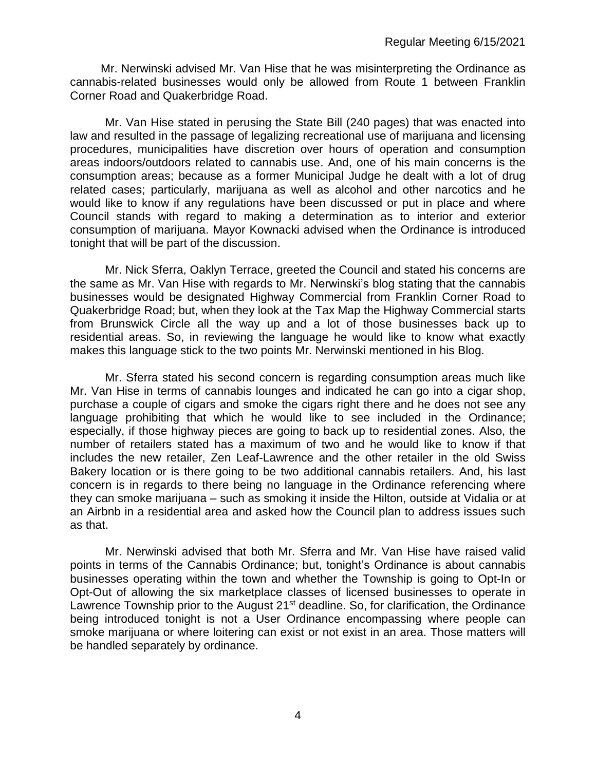Mr. Nerwinski advised Mr. Van Hise that he was misinterpreting the Ordinance as cannabis-related businesses would only be allowed from Route 1 between Franklin Corner Road and Quakerbridge Road.

Mr. Van Hise stated in perusing the State Bill (240 pages) that was enacted into law and resulted in the passage of legalizing recreational use of marijuana and licensing procedures, municipalities have discretion over hours of operation and consumption areas indoors/outdoors related to cannabis use. And, one of his main concerns is the consumption areas; because as a former Municipal Judge he dealt with a lot of drug related cases; particularly, marijuana as well as alcohol and other narcotics and he would like to know if any regulations have been discussed or put in place and where Council stands with regard to making a determination as to interior and exterior consumption of marijuana. Mayor Kownacki advised when the Ordinance is introduced tonight that will be part of the discussion.

Mr. Nick Sferra, Oaklyn Terrace, greeted the Council and stated his concerns are the same as Mr. Van Hise with regards to Mr. Nerwinski's blog stating that the cannabis businesses would be designated Highway Commercial from Franklin Corner Road to Quakerbridge Road; but, when they look at the Tax Map the Highway Commercial starts from Brunswick Circle all the way up and a lot of those businesses back up to residential areas. So, in reviewing the language he would like to know what exactly makes this language stick to the two points Mr. Nerwinski mentioned in his Blog.

Mr. Sferra stated his second concern is regarding consumption areas much like Mr. Van Hise in terms of cannabis lounges and indicated he can go into a cigar shop, purchase a couple of cigars and smoke the cigars right there and he does not see any language prohibiting that which he would like to see included in the Ordinance; especially, if those highway pieces are going to back up to residential zones. Also, the number of retailers stated has a maximum of two and he would like to know if that includes the new retailer, Zen Leaf-Lawrence and the other retailer in the old Swiss Bakery location or is there going to be two additional cannabis retailers. And, his last concern is in regards to there being no language in the Ordinance referencing where they can smoke marijuana – such as smoking it inside the Hilton, outside at Vidalia or at an Airbnb in a residential area and asked how the Council plan to address issues such as that.

Mr. Nerwinski advised that both Mr. Sferra and Mr. Van Hise have raised valid points in terms of the Cannabis Ordinance; but, tonight's Ordinance is about cannabis businesses operating within the town and whether the Township is going to Opt-In or Opt-Out of allowing the six marketplace classes of licensed businesses to operate in Lawrence Township prior to the August 21<sup>st</sup> deadline. So, for clarification, the Ordinance being introduced tonight is not a User Ordinance encompassing where people can smoke marijuana or where loitering can exist or not exist in an area. Those matters will be handled separately by ordinance.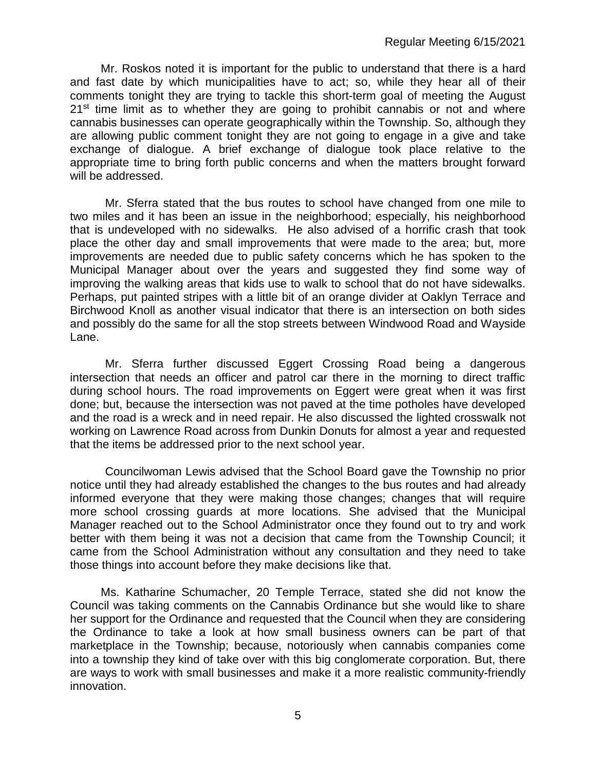Mr. Roskos noted it is important for the public to understand that there is a hard and fast date by which municipalities have to act; so, while they hear all of their comments tonight they are trying to tackle this short-term goal of meeting the August  $21<sup>st</sup>$  time limit as to whether they are going to prohibit cannabis or not and where cannabis businesses can operate geographically within the Township. So, although they are allowing public comment tonight they are not going to engage in a give and take exchange of dialogue. A brief exchange of dialogue took place relative to the appropriate time to bring forth public concerns and when the matters brought forward will be addressed.

Mr. Sferra stated that the bus routes to school have changed from one mile to two miles and it has been an issue in the neighborhood; especially, his neighborhood that is undeveloped with no sidewalks. He also advised of a horrific crash that took place the other day and small improvements that were made to the area; but, more improvements are needed due to public safety concerns which he has spoken to the Municipal Manager about over the years and suggested they find some way of improving the walking areas that kids use to walk to school that do not have sidewalks. Perhaps, put painted stripes with a little bit of an orange divider at Oaklyn Terrace and Birchwood Knoll as another visual indicator that there is an intersection on both sides and possibly do the same for all the stop streets between Windwood Road and Wayside Lane.

Mr. Sferra further discussed Eggert Crossing Road being a dangerous intersection that needs an officer and patrol car there in the morning to direct traffic during school hours. The road improvements on Eggert were great when it was first done; but, because the intersection was not paved at the time potholes have developed and the road is a wreck and in need repair. He also discussed the lighted crosswalk not working on Lawrence Road across from Dunkin Donuts for almost a year and requested that the items be addressed prior to the next school year.

Councilwoman Lewis advised that the School Board gave the Township no prior notice until they had already established the changes to the bus routes and had already informed everyone that they were making those changes; changes that will require more school crossing guards at more locations. She advised that the Municipal Manager reached out to the School Administrator once they found out to try and work better with them being it was not a decision that came from the Township Council; it came from the School Administration without any consultation and they need to take those things into account before they make decisions like that.

Ms. Katharine Schumacher, 20 Temple Terrace, stated she did not know the Council was taking comments on the Cannabis Ordinance but she would like to share her support for the Ordinance and requested that the Council when they are considering the Ordinance to take a look at how small business owners can be part of that marketplace in the Township; because, notoriously when cannabis companies come into a township they kind of take over with this big conglomerate corporation. But, there are ways to work with small businesses and make it a more realistic community-friendly innovation.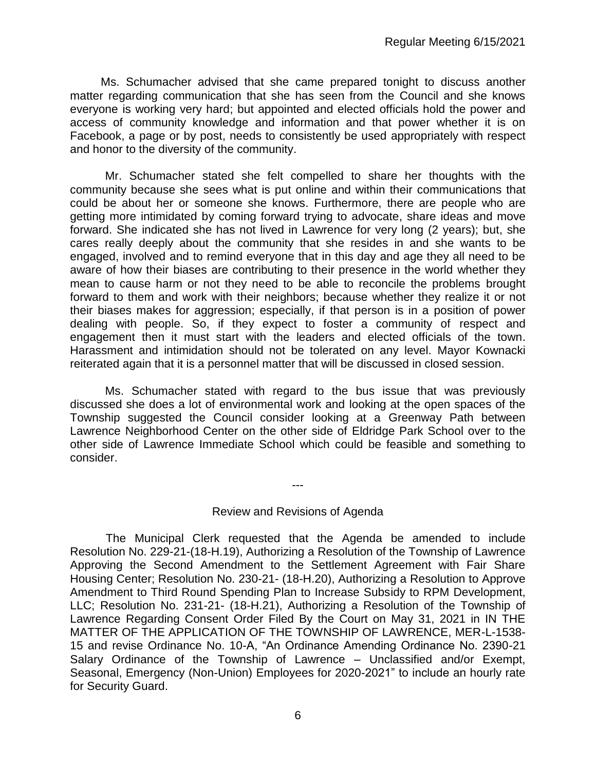Ms. Schumacher advised that she came prepared tonight to discuss another matter regarding communication that she has seen from the Council and she knows everyone is working very hard; but appointed and elected officials hold the power and access of community knowledge and information and that power whether it is on Facebook, a page or by post, needs to consistently be used appropriately with respect and honor to the diversity of the community.

Mr. Schumacher stated she felt compelled to share her thoughts with the community because she sees what is put online and within their communications that could be about her or someone she knows. Furthermore, there are people who are getting more intimidated by coming forward trying to advocate, share ideas and move forward. She indicated she has not lived in Lawrence for very long (2 years); but, she cares really deeply about the community that she resides in and she wants to be engaged, involved and to remind everyone that in this day and age they all need to be aware of how their biases are contributing to their presence in the world whether they mean to cause harm or not they need to be able to reconcile the problems brought forward to them and work with their neighbors; because whether they realize it or not their biases makes for aggression; especially, if that person is in a position of power dealing with people. So, if they expect to foster a community of respect and engagement then it must start with the leaders and elected officials of the town. Harassment and intimidation should not be tolerated on any level. Mayor Kownacki reiterated again that it is a personnel matter that will be discussed in closed session.

Ms. Schumacher stated with regard to the bus issue that was previously discussed she does a lot of environmental work and looking at the open spaces of the Township suggested the Council consider looking at a Greenway Path between Lawrence Neighborhood Center on the other side of Eldridge Park School over to the other side of Lawrence Immediate School which could be feasible and something to consider.

Review and Revisions of Agenda

---

 The Municipal Clerk requested that the Agenda be amended to include Resolution No. 229-21-(18-H.19), Authorizing a Resolution of the Township of Lawrence Approving the Second Amendment to the Settlement Agreement with Fair Share Housing Center; Resolution No. 230-21- (18-H.20), Authorizing a Resolution to Approve Amendment to Third Round Spending Plan to Increase Subsidy to RPM Development, LLC; Resolution No. 231-21- (18-H.21), Authorizing a Resolution of the Township of Lawrence Regarding Consent Order Filed By the Court on May 31, 2021 in IN THE MATTER OF THE APPLICATION OF THE TOWNSHIP OF LAWRENCE, MER-L-1538- 15 and revise Ordinance No. 10-A, "An Ordinance Amending Ordinance No. 2390-21 Salary Ordinance of the Township of Lawrence – Unclassified and/or Exempt, Seasonal, Emergency (Non-Union) Employees for 2020-2021" to include an hourly rate for Security Guard.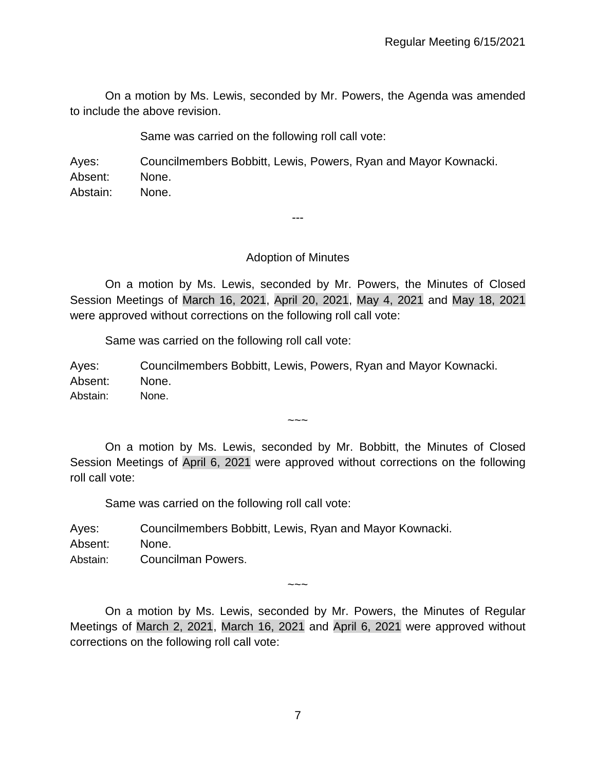On a motion by Ms. Lewis, seconded by Mr. Powers, the Agenda was amended to include the above revision.

Same was carried on the following roll call vote:

Ayes: Councilmembers Bobbitt, Lewis, Powers, Ryan and Mayor Kownacki. Absent: None. Abstain: None.

Adoption of Minutes

---

On a motion by Ms. Lewis, seconded by Mr. Powers, the Minutes of Closed Session Meetings of March 16, 2021, April 20, 2021, May 4, 2021 and May 18, 2021 were approved without corrections on the following roll call vote:

Same was carried on the following roll call vote:

Ayes: Councilmembers Bobbitt, Lewis, Powers, Ryan and Mayor Kownacki. Absent: None. Abstain: None.

On a motion by Ms. Lewis, seconded by Mr. Bobbitt, the Minutes of Closed Session Meetings of April 6, 2021 were approved without corrections on the following roll call vote:

 $\sim\sim\sim$ 

Same was carried on the following roll call vote:

Ayes: Councilmembers Bobbitt, Lewis, Ryan and Mayor Kownacki.

Absent: None.

Abstain: Councilman Powers.

On a motion by Ms. Lewis, seconded by Mr. Powers, the Minutes of Regular Meetings of March 2, 2021, March 16, 2021 and April 6, 2021 were approved without corrections on the following roll call vote:

 $\sim\sim\sim$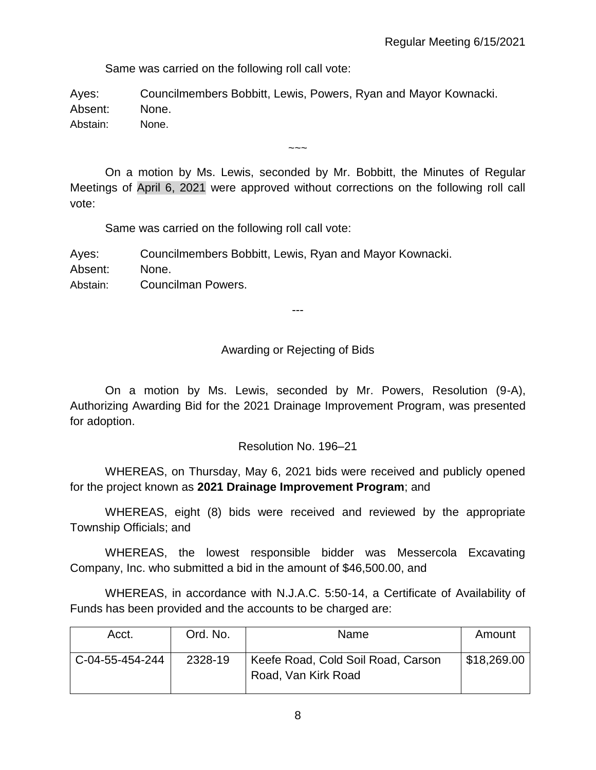Same was carried on the following roll call vote:

Ayes: Councilmembers Bobbitt, Lewis, Powers, Ryan and Mayor Kownacki. Absent: None. Abstain: None.

On a motion by Ms. Lewis, seconded by Mr. Bobbitt, the Minutes of Regular Meetings of April 6, 2021 were approved without corrections on the following roll call vote:

 $\sim\sim\sim$ 

Same was carried on the following roll call vote:

Ayes: Councilmembers Bobbitt, Lewis, Ryan and Mayor Kownacki. Absent: None. Abstain: Councilman Powers.

---

### Awarding or Rejecting of Bids

On a motion by Ms. Lewis, seconded by Mr. Powers, Resolution (9-A), Authorizing Awarding Bid for the 2021 Drainage Improvement Program, was presented for adoption.

### Resolution No. 196–21

WHEREAS, on Thursday, May 6, 2021 bids were received and publicly opened for the project known as **2021 Drainage Improvement Program**; and

WHEREAS, eight (8) bids were received and reviewed by the appropriate Township Officials; and

WHEREAS, the lowest responsible bidder was Messercola Excavating Company, Inc. who submitted a bid in the amount of \$46,500.00, and

WHEREAS, in accordance with N.J.A.C. 5:50-14, a Certificate of Availability of Funds has been provided and the accounts to be charged are:

| Acct.           | Ord. No. | Name                                                      | Amount      |
|-----------------|----------|-----------------------------------------------------------|-------------|
| C-04-55-454-244 | 2328-19  | Keefe Road, Cold Soil Road, Carson<br>Road, Van Kirk Road | \$18,269.00 |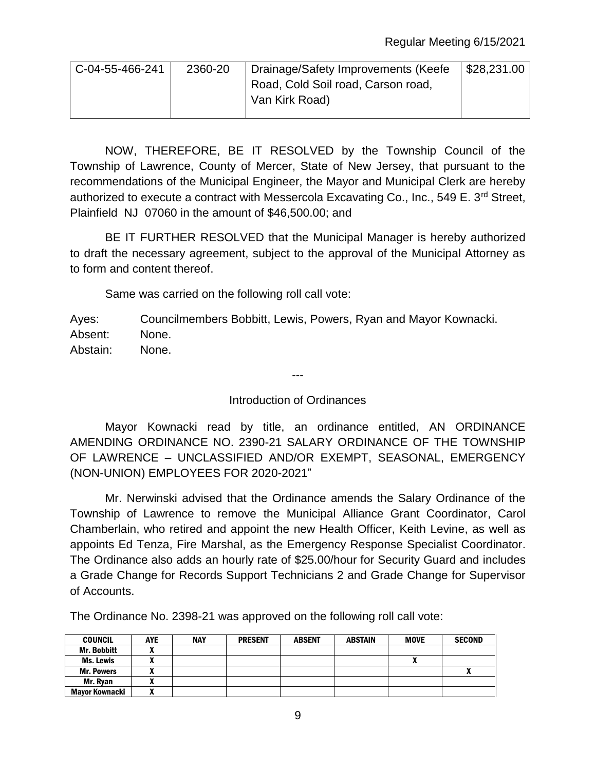| C-04-55-466-241 | 2360-20 | Drainage/Safety Improvements (Keefe | $\frac{28,231.00}{5}$ |
|-----------------|---------|-------------------------------------|-----------------------|
|                 |         | Road, Cold Soil road, Carson road,  |                       |
|                 |         | Van Kirk Road)                      |                       |
|                 |         |                                     |                       |

NOW, THEREFORE, BE IT RESOLVED by the Township Council of the Township of Lawrence, County of Mercer, State of New Jersey, that pursuant to the recommendations of the Municipal Engineer, the Mayor and Municipal Clerk are hereby authorized to execute a contract with Messercola Excavating Co., Inc., 549 E.  $3^{rd}$  Street, Plainfield NJ 07060 in the amount of \$46,500.00; and

BE IT FURTHER RESOLVED that the Municipal Manager is hereby authorized to draft the necessary agreement, subject to the approval of the Municipal Attorney as to form and content thereof.

Same was carried on the following roll call vote:

Ayes: Councilmembers Bobbitt, Lewis, Powers, Ryan and Mayor Kownacki. Absent: None. Abstain: None.

Introduction of Ordinances

---

Mayor Kownacki read by title, an ordinance entitled, AN ORDINANCE AMENDING ORDINANCE NO. 2390-21 SALARY ORDINANCE OF THE TOWNSHIP OF LAWRENCE – UNCLASSIFIED AND/OR EXEMPT, SEASONAL, EMERGENCY (NON-UNION) EMPLOYEES FOR 2020-2021"

Mr. Nerwinski advised that the Ordinance amends the Salary Ordinance of the Township of Lawrence to remove the Municipal Alliance Grant Coordinator, Carol Chamberlain, who retired and appoint the new Health Officer, Keith Levine, as well as appoints Ed Tenza, Fire Marshal, as the Emergency Response Specialist Coordinator. The Ordinance also adds an hourly rate of \$25.00/hour for Security Guard and includes a Grade Change for Records Support Technicians 2 and Grade Change for Supervisor of Accounts.

The Ordinance No. 2398-21 was approved on the following roll call vote:

| <b>COUNCIL</b>     | <b>AYE</b> | <b>NAY</b> | <b>PRESENT</b> | <b>ABSENT</b> | <b>ABSTAIN</b> | <b>MOVE</b> | <b>SECOND</b> |
|--------------------|------------|------------|----------------|---------------|----------------|-------------|---------------|
| <b>Mr. Bobbitt</b> |            |            |                |               |                |             |               |
| Ms. Lewis          |            |            |                |               |                |             |               |
| <b>Mr. Powers</b>  |            |            |                |               |                |             | ٠.            |
| Mr. Rvan           |            |            |                |               |                |             |               |
| Mayor Kownacki     |            |            |                |               |                |             |               |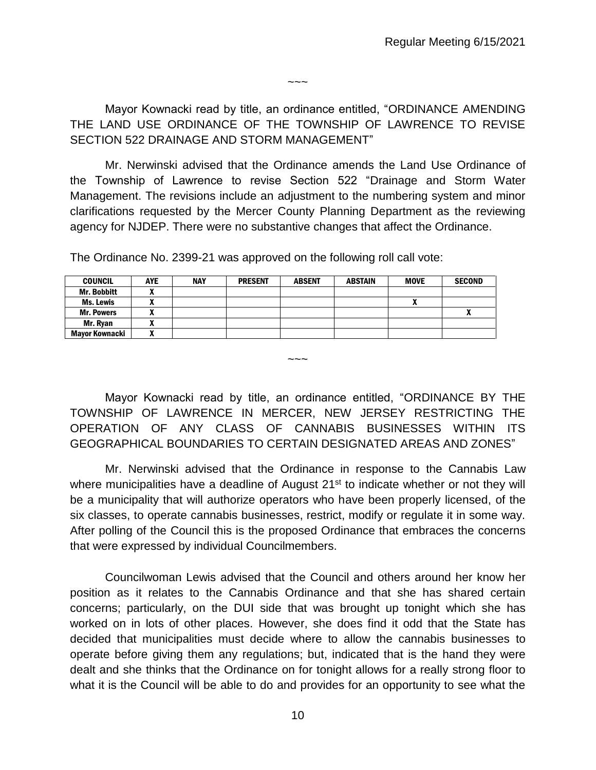$\sim\sim\sim$ 

Mayor Kownacki read by title, an ordinance entitled, "ORDINANCE AMENDING THE LAND USE ORDINANCE OF THE TOWNSHIP OF LAWRENCE TO REVISE SECTION 522 DRAINAGE AND STORM MANAGEMENT"

Mr. Nerwinski advised that the Ordinance amends the Land Use Ordinance of the Township of Lawrence to revise Section 522 "Drainage and Storm Water Management. The revisions include an adjustment to the numbering system and minor clarifications requested by the Mercer County Planning Department as the reviewing agency for NJDEP. There were no substantive changes that affect the Ordinance.

The Ordinance No. 2399-21 was approved on the following roll call vote:

| <b>COUNCIL</b>     | <b>AYE</b> | <b>NAY</b> | <b>PRESENT</b> | <b>ABSENT</b> | <b>ABSTAIN</b> | <b>MOVE</b> | <b>SECOND</b> |
|--------------------|------------|------------|----------------|---------------|----------------|-------------|---------------|
| <b>Mr. Bobbitt</b> |            |            |                |               |                |             |               |
| <b>Ms. Lewis</b>   |            |            |                |               |                |             |               |
| <b>Mr. Powers</b>  |            |            |                |               |                |             |               |
| Mr. Rvan           |            |            |                |               |                |             |               |
| Mavor Kownacki     |            |            |                |               |                |             |               |

Mayor Kownacki read by title, an ordinance entitled, "ORDINANCE BY THE TOWNSHIP OF LAWRENCE IN MERCER, NEW JERSEY RESTRICTING THE OPERATION OF ANY CLASS OF CANNABIS BUSINESSES WITHIN ITS GEOGRAPHICAL BOUNDARIES TO CERTAIN DESIGNATED AREAS AND ZONES"

 $\sim\sim\sim$ 

Mr. Nerwinski advised that the Ordinance in response to the Cannabis Law where municipalities have a deadline of August 21<sup>st</sup> to indicate whether or not they will be a municipality that will authorize operators who have been properly licensed, of the six classes, to operate cannabis businesses, restrict, modify or regulate it in some way. After polling of the Council this is the proposed Ordinance that embraces the concerns that were expressed by individual Councilmembers.

Councilwoman Lewis advised that the Council and others around her know her position as it relates to the Cannabis Ordinance and that she has shared certain concerns; particularly, on the DUI side that was brought up tonight which she has worked on in lots of other places. However, she does find it odd that the State has decided that municipalities must decide where to allow the cannabis businesses to operate before giving them any regulations; but, indicated that is the hand they were dealt and she thinks that the Ordinance on for tonight allows for a really strong floor to what it is the Council will be able to do and provides for an opportunity to see what the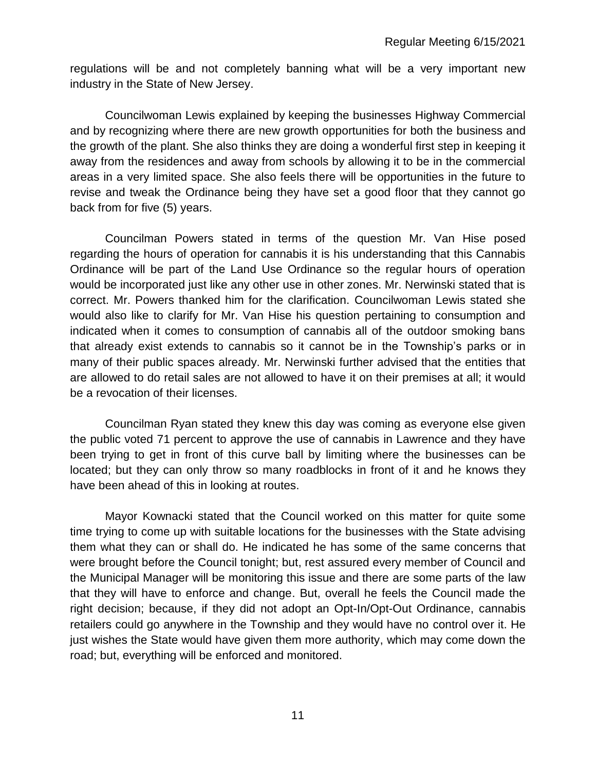regulations will be and not completely banning what will be a very important new industry in the State of New Jersey.

Councilwoman Lewis explained by keeping the businesses Highway Commercial and by recognizing where there are new growth opportunities for both the business and the growth of the plant. She also thinks they are doing a wonderful first step in keeping it away from the residences and away from schools by allowing it to be in the commercial areas in a very limited space. She also feels there will be opportunities in the future to revise and tweak the Ordinance being they have set a good floor that they cannot go back from for five (5) years.

Councilman Powers stated in terms of the question Mr. Van Hise posed regarding the hours of operation for cannabis it is his understanding that this Cannabis Ordinance will be part of the Land Use Ordinance so the regular hours of operation would be incorporated just like any other use in other zones. Mr. Nerwinski stated that is correct. Mr. Powers thanked him for the clarification. Councilwoman Lewis stated she would also like to clarify for Mr. Van Hise his question pertaining to consumption and indicated when it comes to consumption of cannabis all of the outdoor smoking bans that already exist extends to cannabis so it cannot be in the Township's parks or in many of their public spaces already. Mr. Nerwinski further advised that the entities that are allowed to do retail sales are not allowed to have it on their premises at all; it would be a revocation of their licenses.

Councilman Ryan stated they knew this day was coming as everyone else given the public voted 71 percent to approve the use of cannabis in Lawrence and they have been trying to get in front of this curve ball by limiting where the businesses can be located; but they can only throw so many roadblocks in front of it and he knows they have been ahead of this in looking at routes.

Mayor Kownacki stated that the Council worked on this matter for quite some time trying to come up with suitable locations for the businesses with the State advising them what they can or shall do. He indicated he has some of the same concerns that were brought before the Council tonight; but, rest assured every member of Council and the Municipal Manager will be monitoring this issue and there are some parts of the law that they will have to enforce and change. But, overall he feels the Council made the right decision; because, if they did not adopt an Opt-In/Opt-Out Ordinance, cannabis retailers could go anywhere in the Township and they would have no control over it. He just wishes the State would have given them more authority, which may come down the road; but, everything will be enforced and monitored.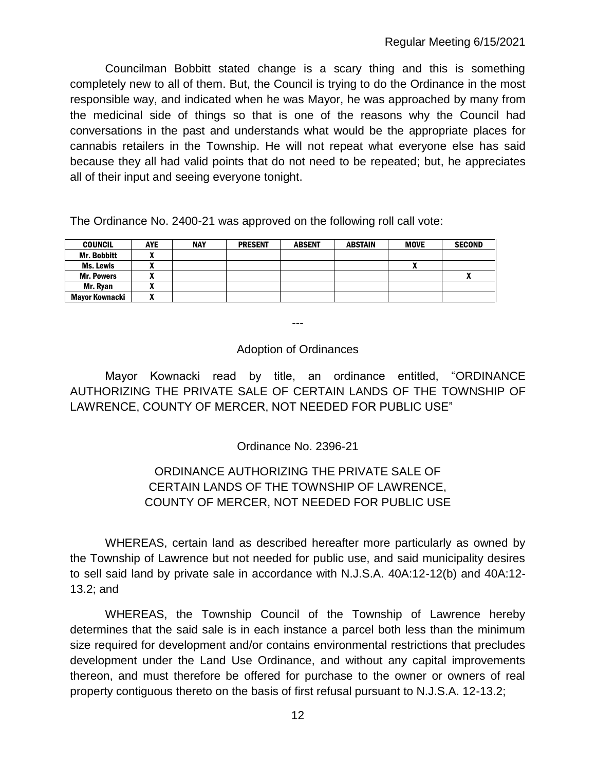Councilman Bobbitt stated change is a scary thing and this is something completely new to all of them. But, the Council is trying to do the Ordinance in the most responsible way, and indicated when he was Mayor, he was approached by many from the medicinal side of things so that is one of the reasons why the Council had conversations in the past and understands what would be the appropriate places for cannabis retailers in the Township. He will not repeat what everyone else has said because they all had valid points that do not need to be repeated; but, he appreciates all of their input and seeing everyone tonight.

The Ordinance No. 2400-21 was approved on the following roll call vote:

| <b>COUNCIL</b>     | <b>AYE</b> | <b>NAY</b> | <b>PRESENT</b> | <b>ABSENT</b> | <b>ABSTAIN</b> | <b>MOVE</b> | <b>SECOND</b> |
|--------------------|------------|------------|----------------|---------------|----------------|-------------|---------------|
| <b>Mr. Bobbitt</b> |            |            |                |               |                |             |               |
| <b>Ms. Lewis</b>   |            |            |                |               |                |             |               |
| <b>Mr. Powers</b>  |            |            |                |               |                |             | "             |
| Mr. Ryan           |            |            |                |               |                |             |               |
| Mavor Kownacki     |            |            |                |               |                |             |               |

---

### Adoption of Ordinances

Mayor Kownacki read by title, an ordinance entitled, "ORDINANCE AUTHORIZING THE PRIVATE SALE OF CERTAIN LANDS OF THE TOWNSHIP OF LAWRENCE, COUNTY OF MERCER, NOT NEEDED FOR PUBLIC USE"

Ordinance No. 2396-21

# ORDINANCE AUTHORIZING THE PRIVATE SALE OF CERTAIN LANDS OF THE TOWNSHIP OF LAWRENCE, COUNTY OF MERCER, NOT NEEDED FOR PUBLIC USE

WHEREAS, certain land as described hereafter more particularly as owned by the Township of Lawrence but not needed for public use, and said municipality desires to sell said land by private sale in accordance with N.J.S.A. 40A:12-12(b) and 40A:12- 13.2; and

WHEREAS, the Township Council of the Township of Lawrence hereby determines that the said sale is in each instance a parcel both less than the minimum size required for development and/or contains environmental restrictions that precludes development under the Land Use Ordinance, and without any capital improvements thereon, and must therefore be offered for purchase to the owner or owners of real property contiguous thereto on the basis of first refusal pursuant to N.J.S.A. 12-13.2;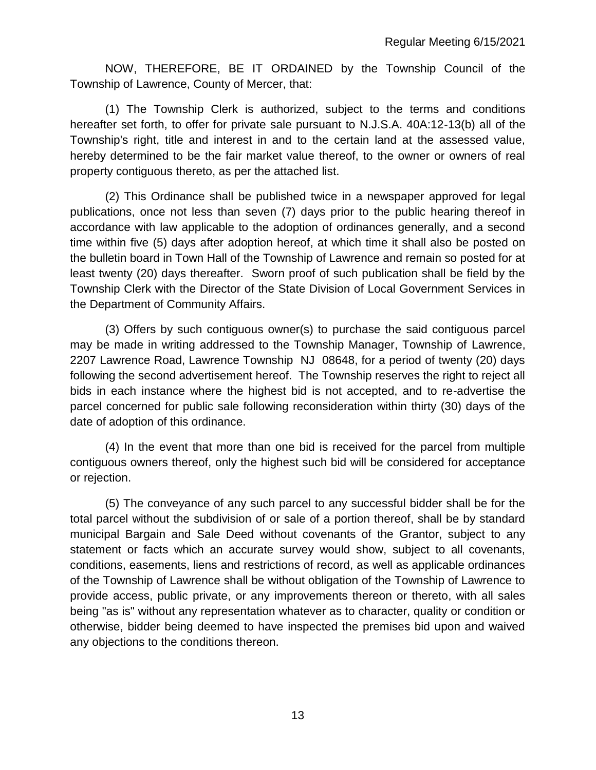NOW, THEREFORE, BE IT ORDAINED by the Township Council of the Township of Lawrence, County of Mercer, that:

(1) The Township Clerk is authorized, subject to the terms and conditions hereafter set forth, to offer for private sale pursuant to N.J.S.A. 40A:12-13(b) all of the Township's right, title and interest in and to the certain land at the assessed value, hereby determined to be the fair market value thereof, to the owner or owners of real property contiguous thereto, as per the attached list.

(2) This Ordinance shall be published twice in a newspaper approved for legal publications, once not less than seven (7) days prior to the public hearing thereof in accordance with law applicable to the adoption of ordinances generally, and a second time within five (5) days after adoption hereof, at which time it shall also be posted on the bulletin board in Town Hall of the Township of Lawrence and remain so posted for at least twenty (20) days thereafter. Sworn proof of such publication shall be field by the Township Clerk with the Director of the State Division of Local Government Services in the Department of Community Affairs.

(3) Offers by such contiguous owner(s) to purchase the said contiguous parcel may be made in writing addressed to the Township Manager, Township of Lawrence, 2207 Lawrence Road, Lawrence Township NJ 08648, for a period of twenty (20) days following the second advertisement hereof. The Township reserves the right to reject all bids in each instance where the highest bid is not accepted, and to re-advertise the parcel concerned for public sale following reconsideration within thirty (30) days of the date of adoption of this ordinance.

(4) In the event that more than one bid is received for the parcel from multiple contiguous owners thereof, only the highest such bid will be considered for acceptance or rejection.

(5) The conveyance of any such parcel to any successful bidder shall be for the total parcel without the subdivision of or sale of a portion thereof, shall be by standard municipal Bargain and Sale Deed without covenants of the Grantor, subject to any statement or facts which an accurate survey would show, subject to all covenants, conditions, easements, liens and restrictions of record, as well as applicable ordinances of the Township of Lawrence shall be without obligation of the Township of Lawrence to provide access, public private, or any improvements thereon or thereto, with all sales being "as is" without any representation whatever as to character, quality or condition or otherwise, bidder being deemed to have inspected the premises bid upon and waived any objections to the conditions thereon.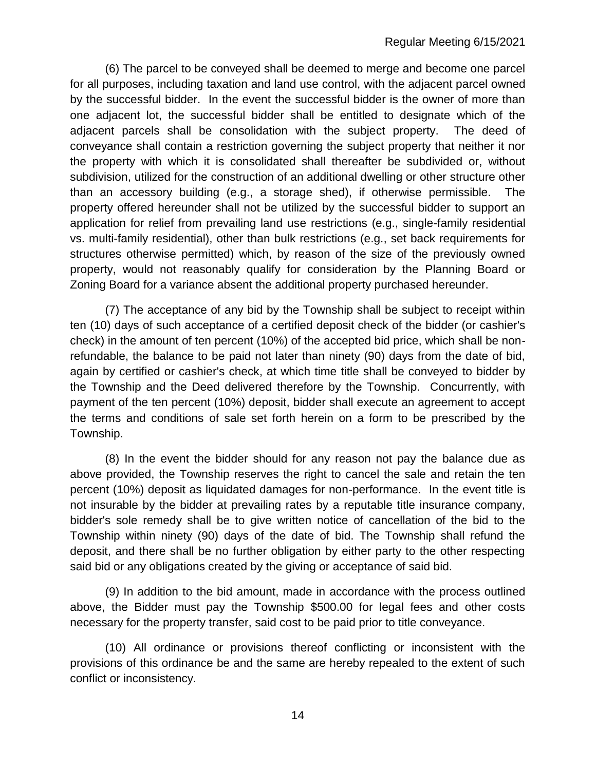(6) The parcel to be conveyed shall be deemed to merge and become one parcel for all purposes, including taxation and land use control, with the adjacent parcel owned by the successful bidder. In the event the successful bidder is the owner of more than one adjacent lot, the successful bidder shall be entitled to designate which of the adjacent parcels shall be consolidation with the subject property. The deed of conveyance shall contain a restriction governing the subject property that neither it nor the property with which it is consolidated shall thereafter be subdivided or, without subdivision, utilized for the construction of an additional dwelling or other structure other than an accessory building (e.g., a storage shed), if otherwise permissible. The property offered hereunder shall not be utilized by the successful bidder to support an application for relief from prevailing land use restrictions (e.g., single-family residential vs. multi-family residential), other than bulk restrictions (e.g., set back requirements for structures otherwise permitted) which, by reason of the size of the previously owned property, would not reasonably qualify for consideration by the Planning Board or Zoning Board for a variance absent the additional property purchased hereunder.

(7) The acceptance of any bid by the Township shall be subject to receipt within ten (10) days of such acceptance of a certified deposit check of the bidder (or cashier's check) in the amount of ten percent (10%) of the accepted bid price, which shall be nonrefundable, the balance to be paid not later than ninety (90) days from the date of bid, again by certified or cashier's check, at which time title shall be conveyed to bidder by the Township and the Deed delivered therefore by the Township. Concurrently, with payment of the ten percent (10%) deposit, bidder shall execute an agreement to accept the terms and conditions of sale set forth herein on a form to be prescribed by the Township.

(8) In the event the bidder should for any reason not pay the balance due as above provided, the Township reserves the right to cancel the sale and retain the ten percent (10%) deposit as liquidated damages for non-performance. In the event title is not insurable by the bidder at prevailing rates by a reputable title insurance company, bidder's sole remedy shall be to give written notice of cancellation of the bid to the Township within ninety (90) days of the date of bid. The Township shall refund the deposit, and there shall be no further obligation by either party to the other respecting said bid or any obligations created by the giving or acceptance of said bid.

(9) In addition to the bid amount, made in accordance with the process outlined above, the Bidder must pay the Township \$500.00 for legal fees and other costs necessary for the property transfer, said cost to be paid prior to title conveyance.

(10) All ordinance or provisions thereof conflicting or inconsistent with the provisions of this ordinance be and the same are hereby repealed to the extent of such conflict or inconsistency.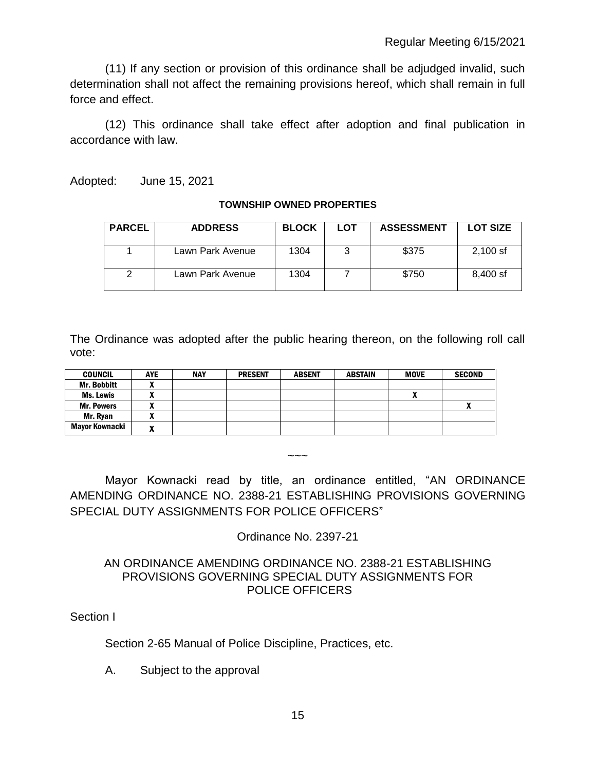(11) If any section or provision of this ordinance shall be adjudged invalid, such determination shall not affect the remaining provisions hereof, which shall remain in full force and effect.

(12) This ordinance shall take effect after adoption and final publication in accordance with law.

Adopted: June 15, 2021

#### **TOWNSHIP OWNED PROPERTIES**

| <b>PARCEL</b> | <b>ADDRESS</b>   | <b>BLOCK</b> | LOT | <b>ASSESSMENT</b> | <b>LOT SIZE</b> |
|---------------|------------------|--------------|-----|-------------------|-----------------|
|               | Lawn Park Avenue | 1304         |     | \$375             | $2.100$ sf      |
| າ             | Lawn Park Avenue | 1304         |     | \$750             | 8.400 sf        |

The Ordinance was adopted after the public hearing thereon, on the following roll call vote:

| <b>COUNCIL</b>     | <b>AYE</b> | <b>NAY</b> | <b>PRESENT</b> | <b>ABSENT</b> | <b>ABSTAIN</b> | <b>MOVE</b> | <b>SECOND</b> |
|--------------------|------------|------------|----------------|---------------|----------------|-------------|---------------|
| <b>Mr. Bobbitt</b> | ~          |            |                |               |                |             |               |
| <b>Ms. Lewis</b>   |            |            |                |               |                | ^           |               |
| <b>Mr. Powers</b>  | ~          |            |                |               |                |             |               |
| Mr. Rvan           |            |            |                |               |                |             |               |
| Mayor Kownacki     | -          |            |                |               |                |             |               |

## Mayor Kownacki read by title, an ordinance entitled, "AN ORDINANCE AMENDING ORDINANCE NO. 2388-21 ESTABLISHING PROVISIONS GOVERNING SPECIAL DUTY ASSIGNMENTS FOR POLICE OFFICERS"

 $\sim\sim\sim$ 

Ordinance No. 2397-21

### AN ORDINANCE AMENDING ORDINANCE NO. 2388-21 ESTABLISHING PROVISIONS GOVERNING SPECIAL DUTY ASSIGNMENTS FOR POLICE OFFICERS

Section I

Section 2-65 Manual of Police Discipline, Practices, etc.

A. Subject to the approval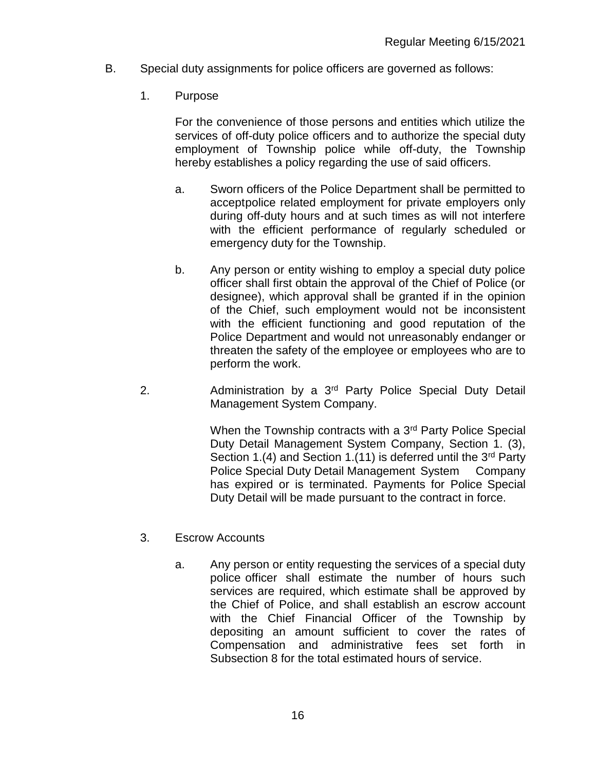- B. Special duty assignments for police officers are governed as follows:
	- 1. Purpose

For the convenience of those persons and entities which utilize the services of off-duty police officers and to authorize the special duty employment of Township police while off-duty, the Township hereby establishes a policy regarding the use of said officers.

- a. Sworn officers of the Police Department shall be permitted to acceptpolice related employment for private employers only during off-duty hours and at such times as will not interfere with the efficient performance of regularly scheduled or emergency duty for the Township.
- b. Any person or entity wishing to employ a special duty police officer shall first obtain the approval of the Chief of Police (or designee), which approval shall be granted if in the opinion of the Chief, such employment would not be inconsistent with the efficient functioning and good reputation of the Police Department and would not unreasonably endanger or threaten the safety of the employee or employees who are to perform the work.
- 2. Administration by a 3<sup>rd</sup> Party Police Special Duty Detail Management System Company.

When the Township contracts with a 3<sup>rd</sup> Party Police Special Duty Detail Management System Company, Section 1. (3), Section 1.(4) and Section 1.(11) is deferred until the  $3<sup>rd</sup>$  Party Police Special Duty Detail Management System Company has expired or is terminated. Payments for Police Special Duty Detail will be made pursuant to the contract in force.

- 3. Escrow Accounts
	- a. Any person or entity requesting the services of a special duty police officer shall estimate the number of hours such services are required, which estimate shall be approved by the Chief of Police, and shall establish an escrow account with the Chief Financial Officer of the Township by depositing an amount sufficient to cover the rates of Compensation and administrative fees set forth in Subsection 8 for the total estimated hours of service.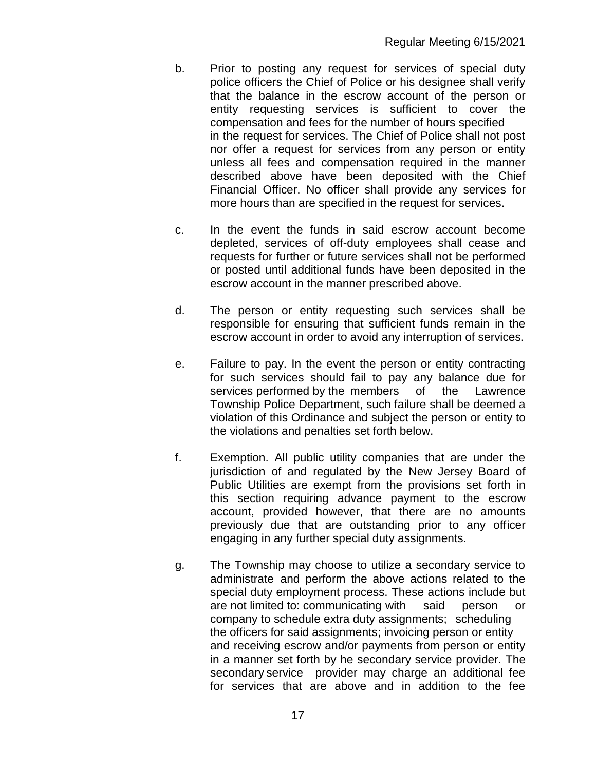- b. Prior to posting any request for services of special duty police officers the Chief of Police or his designee shall verify that the balance in the escrow account of the person or entity requesting services is sufficient to cover the compensation and fees for the number of hours specified in the request for services. The Chief of Police shall not post nor offer a request for services from any person or entity unless all fees and compensation required in the manner described above have been deposited with the Chief Financial Officer. No officer shall provide any services for more hours than are specified in the request for services.
- c. In the event the funds in said escrow account become depleted, services of off-duty employees shall cease and requests for further or future services shall not be performed or posted until additional funds have been deposited in the escrow account in the manner prescribed above.
- d. The person or entity requesting such services shall be responsible for ensuring that sufficient funds remain in the escrow account in order to avoid any interruption of services.
- e. Failure to pay. In the event the person or entity contracting for such services should fail to pay any balance due for services performed by the members of the Lawrence Township Police Department, such failure shall be deemed a violation of this Ordinance and subject the person or entity to the violations and penalties set forth below.
- f. Exemption. All public utility companies that are under the jurisdiction of and regulated by the New Jersey Board of Public Utilities are exempt from the provisions set forth in this section requiring advance payment to the escrow account, provided however, that there are no amounts previously due that are outstanding prior to any officer engaging in any further special duty assignments.
- g. The Township may choose to utilize a secondary service to administrate and perform the above actions related to the special duty employment process. These actions include but are not limited to: communicating with said person or company to schedule extra duty assignments; scheduling the officers for said assignments; invoicing person or entity and receiving escrow and/or payments from person or entity in a manner set forth by he secondary service provider. The secondary service provider may charge an additional fee for services that are above and in addition to the fee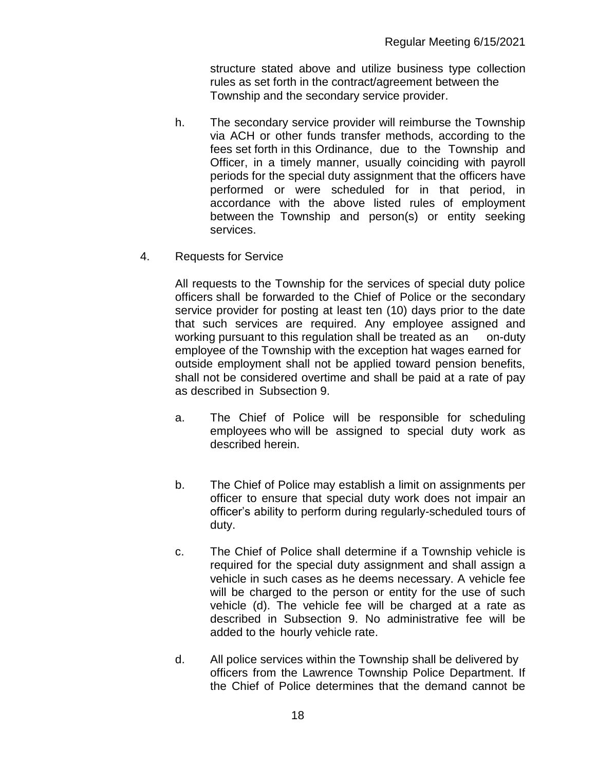structure stated above and utilize business type collection rules as set forth in the contract/agreement between the Township and the secondary service provider.

- h. The secondary service provider will reimburse the Township via ACH or other funds transfer methods, according to the fees set forth in this Ordinance, due to the Township and Officer, in a timely manner, usually coinciding with payroll periods for the special duty assignment that the officers have performed or were scheduled for in that period, in accordance with the above listed rules of employment between the Township and person(s) or entity seeking services.
- 4. Requests for Service

All requests to the Township for the services of special duty police officers shall be forwarded to the Chief of Police or the secondary service provider for posting at least ten (10) days prior to the date that such services are required. Any employee assigned and working pursuant to this regulation shall be treated as an on-duty employee of the Township with the exception hat wages earned for outside employment shall not be applied toward pension benefits, shall not be considered overtime and shall be paid at a rate of pay as described in Subsection 9.

- a. The Chief of Police will be responsible for scheduling employees who will be assigned to special duty work as described herein.
- b. The Chief of Police may establish a limit on assignments per officer to ensure that special duty work does not impair an officer's ability to perform during regularly-scheduled tours of duty.
- c. The Chief of Police shall determine if a Township vehicle is required for the special duty assignment and shall assign a vehicle in such cases as he deems necessary. A vehicle fee will be charged to the person or entity for the use of such vehicle (d). The vehicle fee will be charged at a rate as described in Subsection 9. No administrative fee will be added to the hourly vehicle rate.
- d. All police services within the Township shall be delivered by officers from the Lawrence Township Police Department. If the Chief of Police determines that the demand cannot be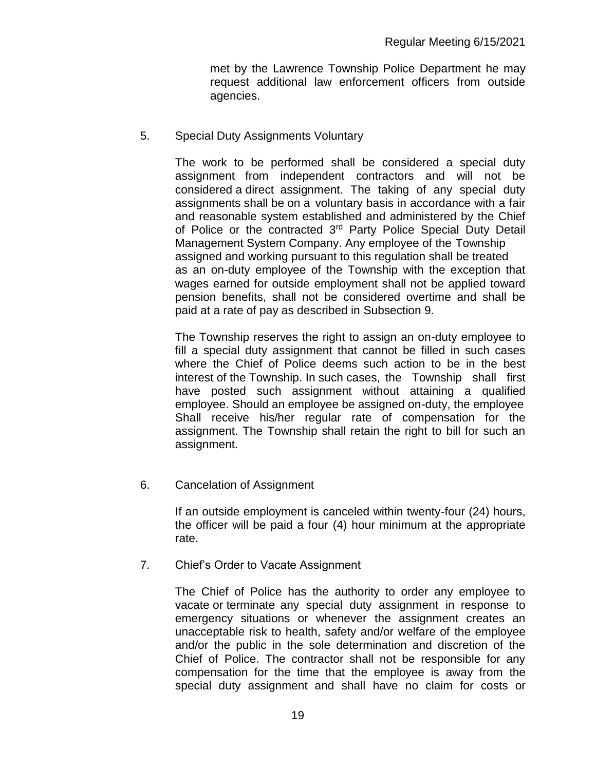met by the Lawrence Township Police Department he may request additional law enforcement officers from outside agencies.

### 5. Special Duty Assignments Voluntary

The work to be performed shall be considered a special duty assignment from independent contractors and will not be considered a direct assignment. The taking of any special duty assignments shall be on a voluntary basis in accordance with a fair and reasonable system established and administered by the Chief of Police or the contracted 3<sup>rd</sup> Party Police Special Duty Detail Management System Company. Any employee of the Township assigned and working pursuant to this regulation shall be treated as an on-duty employee of the Township with the exception that wages earned for outside employment shall not be applied toward pension benefits, shall not be considered overtime and shall be paid at a rate of pay as described in Subsection 9.

The Township reserves the right to assign an on-duty employee to fill a special duty assignment that cannot be filled in such cases where the Chief of Police deems such action to be in the best interest of the Township. In such cases, the Township shall first have posted such assignment without attaining a qualified employee. Should an employee be assigned on-duty, the employee Shall receive his/her regular rate of compensation for the assignment. The Township shall retain the right to bill for such an assignment.

6. Cancelation of Assignment

If an outside employment is canceled within twenty-four (24) hours, the officer will be paid a four (4) hour minimum at the appropriate rate.

7. Chief's Order to Vacate Assignment

The Chief of Police has the authority to order any employee to vacate or terminate any special duty assignment in response to emergency situations or whenever the assignment creates an unacceptable risk to health, safety and/or welfare of the employee and/or the public in the sole determination and discretion of the Chief of Police. The contractor shall not be responsible for any compensation for the time that the employee is away from the special duty assignment and shall have no claim for costs or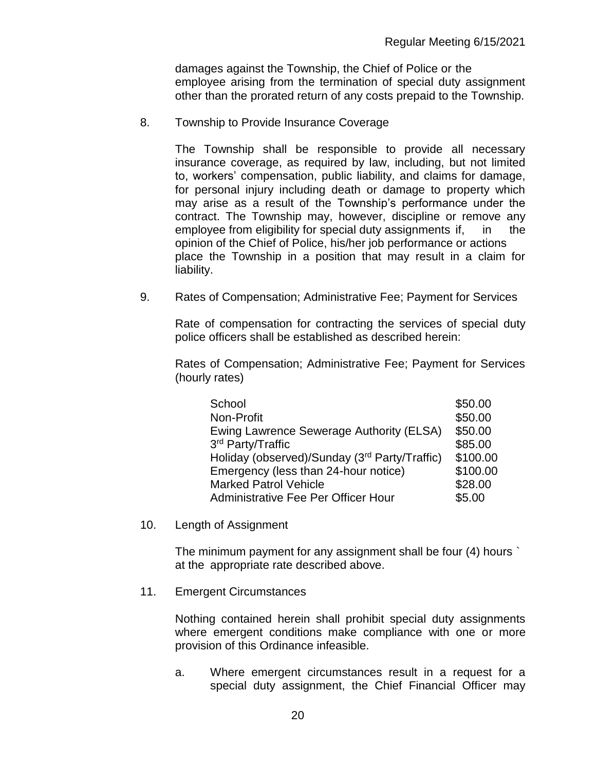damages against the Township, the Chief of Police or the employee arising from the termination of special duty assignment other than the prorated return of any costs prepaid to the Township.

8. Township to Provide Insurance Coverage

The Township shall be responsible to provide all necessary insurance coverage, as required by law, including, but not limited to, workers' compensation, public liability, and claims for damage, for personal injury including death or damage to property which may arise as a result of the Township's performance under the contract. The Township may, however, discipline or remove any employee from eligibility for special duty assignments if, in the opinion of the Chief of Police, his/her job performance or actions place the Township in a position that may result in a claim for liability.

9. Rates of Compensation; Administrative Fee; Payment for Services

Rate of compensation for contracting the services of special duty police officers shall be established as described herein:

Rates of Compensation; Administrative Fee; Payment for Services (hourly rates)

| School                                        | \$50.00  |
|-----------------------------------------------|----------|
| Non-Profit                                    | \$50.00  |
| Ewing Lawrence Sewerage Authority (ELSA)      | \$50.00  |
| 3rd Party/Traffic                             | \$85.00  |
| Holiday (observed)/Sunday (3rd Party/Traffic) | \$100.00 |
| Emergency (less than 24-hour notice)          | \$100.00 |
| <b>Marked Patrol Vehicle</b>                  | \$28.00  |
| Administrative Fee Per Officer Hour           | \$5.00   |

10. Length of Assignment

The minimum payment for any assignment shall be four (4) hours ` at the appropriate rate described above.

11. Emergent Circumstances

Nothing contained herein shall prohibit special duty assignments where emergent conditions make compliance with one or more provision of this Ordinance infeasible.

a. Where emergent circumstances result in a request for a special duty assignment, the Chief Financial Officer may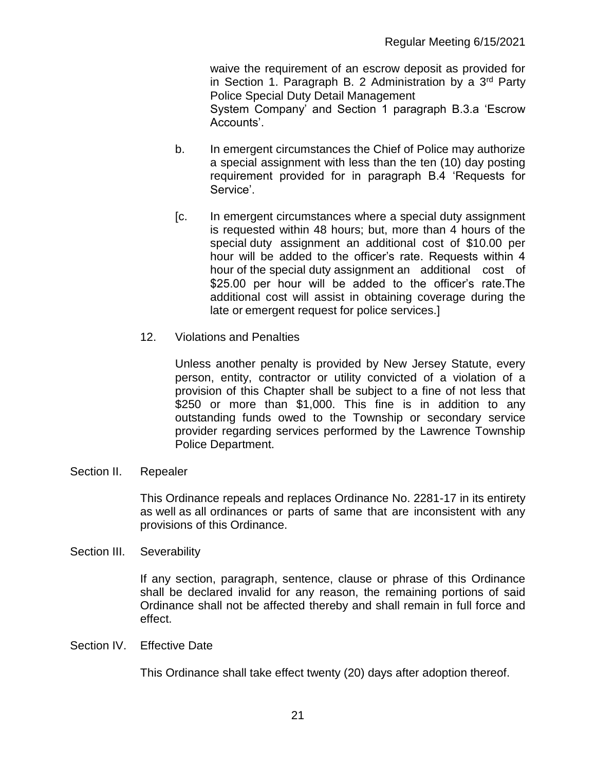waive the requirement of an escrow deposit as provided for in Section 1. Paragraph B. 2 Administration by a  $3<sup>rd</sup>$  Party Police Special Duty Detail Management System Company' and Section 1 paragraph B.3.a 'Escrow Accounts'.

- b. In emergent circumstances the Chief of Police may authorize a special assignment with less than the ten (10) day posting requirement provided for in paragraph B.4 'Requests for Service'.
- [c. In emergent circumstances where a special duty assignment is requested within 48 hours; but, more than 4 hours of the special duty assignment an additional cost of \$10.00 per hour will be added to the officer's rate. Requests within 4 hour of the special duty assignment an additional cost of \$25.00 per hour will be added to the officer's rate. The additional cost will assist in obtaining coverage during the late or emergent request for police services.]
- 12. Violations and Penalties

Unless another penalty is provided by New Jersey Statute, every person, entity, contractor or utility convicted of a violation of a provision of this Chapter shall be subject to a fine of not less that \$250 or more than \$1,000. This fine is in addition to any outstanding funds owed to the Township or secondary service provider regarding services performed by the Lawrence Township Police Department.

Section II. Repealer

This Ordinance repeals and replaces Ordinance No. 2281-17 in its entirety as well as all ordinances or parts of same that are inconsistent with any provisions of this Ordinance.

Section III. Severability

If any section, paragraph, sentence, clause or phrase of this Ordinance shall be declared invalid for any reason, the remaining portions of said Ordinance shall not be affected thereby and shall remain in full force and effect.

Section IV. Effective Date

This Ordinance shall take effect twenty (20) days after adoption thereof.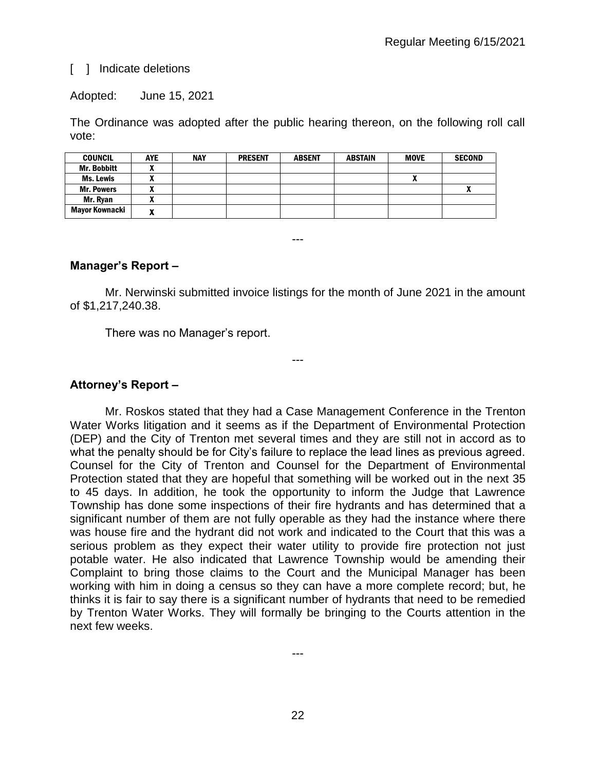### [ ] Indicate deletions

Adopted: June 15, 2021

The Ordinance was adopted after the public hearing thereon, on the following roll call vote:

| <b>COUNCIL</b>     | <b>AYE</b> | <b>NAY</b> | <b>PRESENT</b> | <b>ABSENT</b> | <b>ABSTAIN</b> | <b>MOVE</b> | <b>SECOND</b> |
|--------------------|------------|------------|----------------|---------------|----------------|-------------|---------------|
| <b>Mr. Bobbitt</b> |            |            |                |               |                |             |               |
| Ms. Lewis          |            |            |                |               |                | "           |               |
| <b>Mr. Powers</b>  | n          |            |                |               |                |             |               |
| Mr. Rvan           |            |            |                |               |                |             |               |
| Mayor Kownacki     | n          |            |                |               |                |             |               |

### **Manager's Report –**

Mr. Nerwinski submitted invoice listings for the month of June 2021 in the amount of \$1,217,240.38.

---

---

There was no Manager's report.

### **Attorney's Report –**

Mr. Roskos stated that they had a Case Management Conference in the Trenton Water Works litigation and it seems as if the Department of Environmental Protection (DEP) and the City of Trenton met several times and they are still not in accord as to what the penalty should be for City's failure to replace the lead lines as previous agreed. Counsel for the City of Trenton and Counsel for the Department of Environmental Protection stated that they are hopeful that something will be worked out in the next 35 to 45 days. In addition, he took the opportunity to inform the Judge that Lawrence Township has done some inspections of their fire hydrants and has determined that a significant number of them are not fully operable as they had the instance where there was house fire and the hydrant did not work and indicated to the Court that this was a serious problem as they expect their water utility to provide fire protection not just potable water. He also indicated that Lawrence Township would be amending their Complaint to bring those claims to the Court and the Municipal Manager has been working with him in doing a census so they can have a more complete record; but, he thinks it is fair to say there is a significant number of hydrants that need to be remedied by Trenton Water Works. They will formally be bringing to the Courts attention in the next few weeks.

---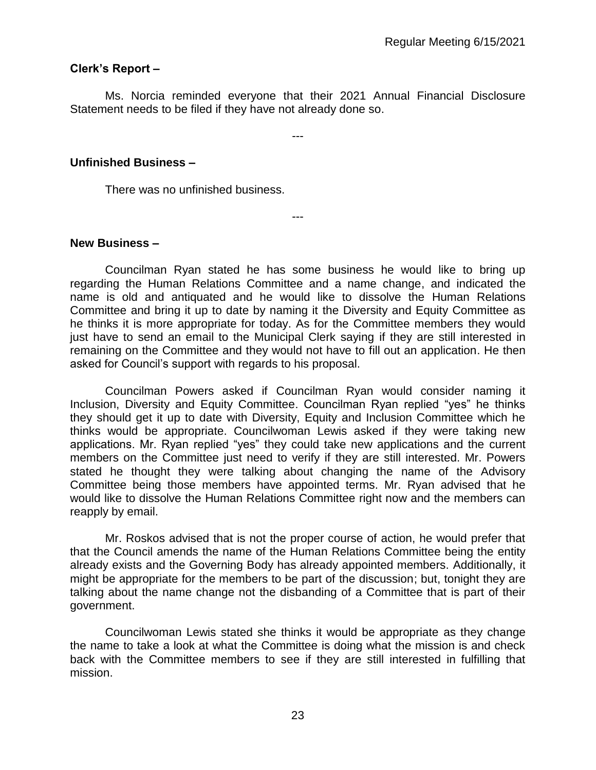### **Clerk's Report –**

Ms. Norcia reminded everyone that their 2021 Annual Financial Disclosure Statement needs to be filed if they have not already done so.

---

---

### **Unfinished Business –**

There was no unfinished business.

### **New Business –**

Councilman Ryan stated he has some business he would like to bring up regarding the Human Relations Committee and a name change, and indicated the name is old and antiquated and he would like to dissolve the Human Relations Committee and bring it up to date by naming it the Diversity and Equity Committee as he thinks it is more appropriate for today. As for the Committee members they would just have to send an email to the Municipal Clerk saying if they are still interested in remaining on the Committee and they would not have to fill out an application. He then asked for Council's support with regards to his proposal.

Councilman Powers asked if Councilman Ryan would consider naming it Inclusion, Diversity and Equity Committee. Councilman Ryan replied "yes" he thinks they should get it up to date with Diversity, Equity and Inclusion Committee which he thinks would be appropriate. Councilwoman Lewis asked if they were taking new applications. Mr. Ryan replied "yes" they could take new applications and the current members on the Committee just need to verify if they are still interested. Mr. Powers stated he thought they were talking about changing the name of the Advisory Committee being those members have appointed terms. Mr. Ryan advised that he would like to dissolve the Human Relations Committee right now and the members can reapply by email.

Mr. Roskos advised that is not the proper course of action, he would prefer that that the Council amends the name of the Human Relations Committee being the entity already exists and the Governing Body has already appointed members. Additionally, it might be appropriate for the members to be part of the discussion; but, tonight they are talking about the name change not the disbanding of a Committee that is part of their government.

Councilwoman Lewis stated she thinks it would be appropriate as they change the name to take a look at what the Committee is doing what the mission is and check back with the Committee members to see if they are still interested in fulfilling that mission.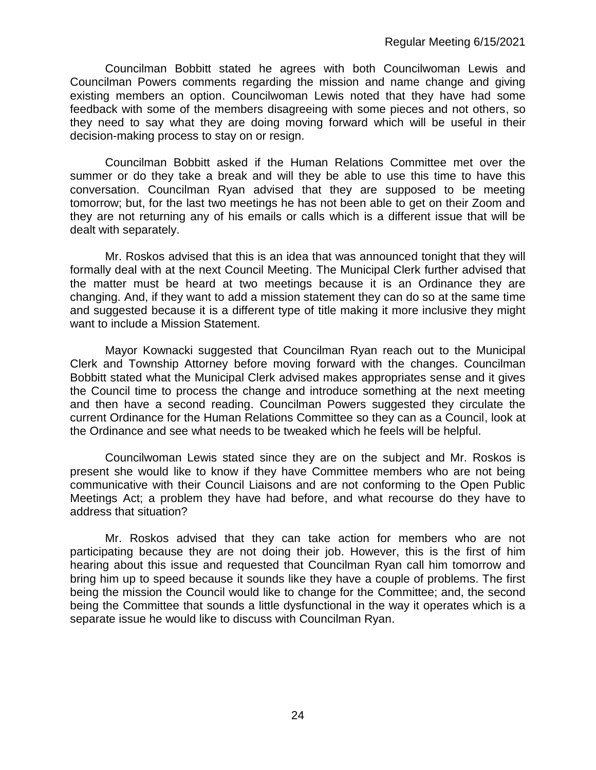Councilman Bobbitt stated he agrees with both Councilwoman Lewis and Councilman Powers comments regarding the mission and name change and giving existing members an option. Councilwoman Lewis noted that they have had some feedback with some of the members disagreeing with some pieces and not others, so they need to say what they are doing moving forward which will be useful in their decision-making process to stay on or resign.

Councilman Bobbitt asked if the Human Relations Committee met over the summer or do they take a break and will they be able to use this time to have this conversation. Councilman Ryan advised that they are supposed to be meeting tomorrow; but, for the last two meetings he has not been able to get on their Zoom and they are not returning any of his emails or calls which is a different issue that will be dealt with separately.

Mr. Roskos advised that this is an idea that was announced tonight that they will formally deal with at the next Council Meeting. The Municipal Clerk further advised that the matter must be heard at two meetings because it is an Ordinance they are changing. And, if they want to add a mission statement they can do so at the same time and suggested because it is a different type of title making it more inclusive they might want to include a Mission Statement.

Mayor Kownacki suggested that Councilman Ryan reach out to the Municipal Clerk and Township Attorney before moving forward with the changes. Councilman Bobbitt stated what the Municipal Clerk advised makes appropriates sense and it gives the Council time to process the change and introduce something at the next meeting and then have a second reading. Councilman Powers suggested they circulate the current Ordinance for the Human Relations Committee so they can as a Council, look at the Ordinance and see what needs to be tweaked which he feels will be helpful.

Councilwoman Lewis stated since they are on the subject and Mr. Roskos is present she would like to know if they have Committee members who are not being communicative with their Council Liaisons and are not conforming to the Open Public Meetings Act; a problem they have had before, and what recourse do they have to address that situation?

Mr. Roskos advised that they can take action for members who are not participating because they are not doing their job. However, this is the first of him hearing about this issue and requested that Councilman Ryan call him tomorrow and bring him up to speed because it sounds like they have a couple of problems. The first being the mission the Council would like to change for the Committee; and, the second being the Committee that sounds a little dysfunctional in the way it operates which is a separate issue he would like to discuss with Councilman Ryan.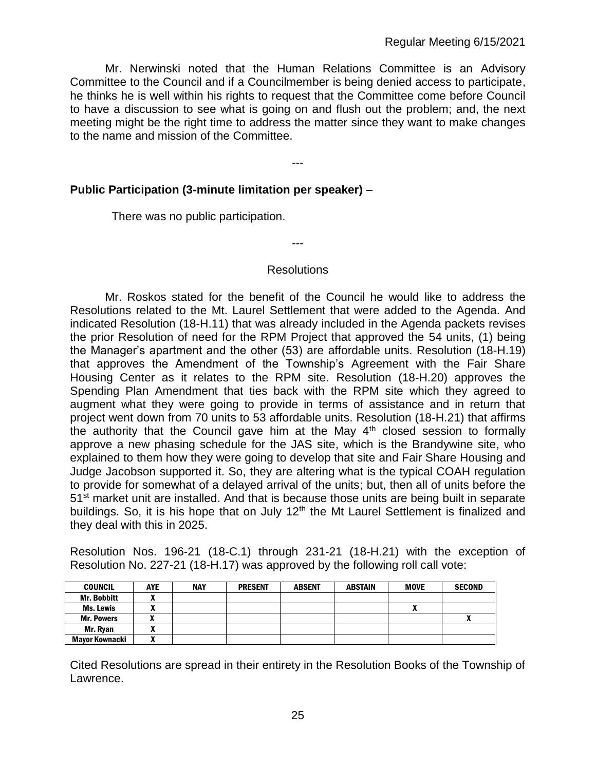Mr. Nerwinski noted that the Human Relations Committee is an Advisory Committee to the Council and if a Councilmember is being denied access to participate, he thinks he is well within his rights to request that the Committee come before Council to have a discussion to see what is going on and flush out the problem; and, the next meeting might be the right time to address the matter since they want to make changes to the name and mission of the Committee.

---

### **Public Participation (3-minute limitation per speaker)** –

There was no public participation.

#### **Resolutions**

---

Mr. Roskos stated for the benefit of the Council he would like to address the Resolutions related to the Mt. Laurel Settlement that were added to the Agenda. And indicated Resolution (18-H.11) that was already included in the Agenda packets revises the prior Resolution of need for the RPM Project that approved the 54 units, (1) being the Manager's apartment and the other (53) are affordable units. Resolution (18-H.19) that approves the Amendment of the Township's Agreement with the Fair Share Housing Center as it relates to the RPM site. Resolution (18-H.20) approves the Spending Plan Amendment that ties back with the RPM site which they agreed to augment what they were going to provide in terms of assistance and in return that project went down from 70 units to 53 affordable units. Resolution (18-H.21) that affirms the authority that the Council gave him at the May 4<sup>th</sup> closed session to formally approve a new phasing schedule for the JAS site, which is the Brandywine site, who explained to them how they were going to develop that site and Fair Share Housing and Judge Jacobson supported it. So, they are altering what is the typical COAH regulation to provide for somewhat of a delayed arrival of the units; but, then all of units before the 51<sup>st</sup> market unit are installed. And that is because those units are being built in separate buildings. So, it is his hope that on July 12<sup>th</sup> the Mt Laurel Settlement is finalized and they deal with this in 2025.

Resolution Nos. 196-21 (18-C.1) through 231-21 (18-H.21) with the exception of Resolution No. 227-21 (18-H.17) was approved by the following roll call vote:

| <b>COUNCIL</b>        | <b>AYE</b> | <b>NAY</b> | <b>PRESENT</b> | <b>ABSENT</b> | <b>ABSTAIN</b> | <b>MOVE</b>  | <b>SECOND</b> |
|-----------------------|------------|------------|----------------|---------------|----------------|--------------|---------------|
| <b>Mr. Bobbitt</b>    | ,,,        |            |                |               |                |              |               |
| Ms. Lewis             |            |            |                |               |                | $\mathbf{r}$ |               |
| <b>Mr. Powers</b>     |            |            |                |               |                |              | Δ             |
| Mr. Rvan              |            |            |                |               |                |              |               |
| <b>Mavor Kownacki</b> | ~          |            |                |               |                |              |               |

Cited Resolutions are spread in their entirety in the Resolution Books of the Township of Lawrence.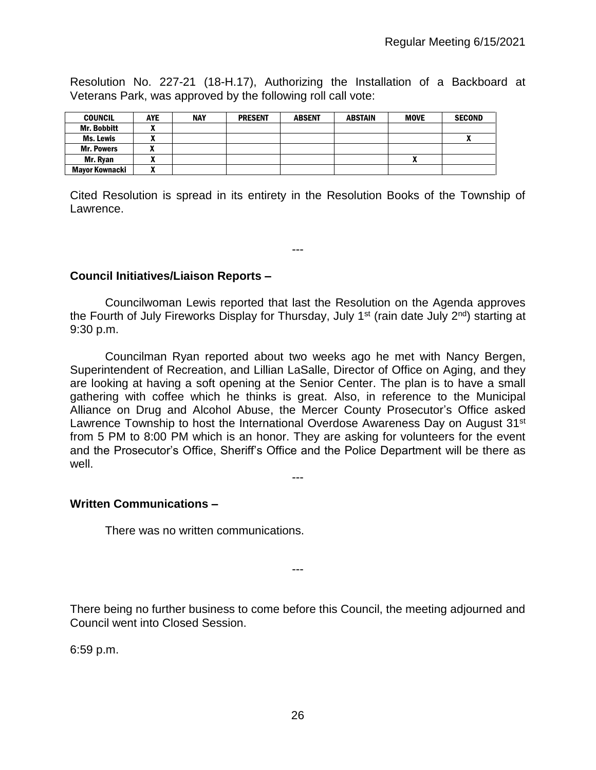Resolution No. 227-21 (18-H.17), Authorizing the Installation of a Backboard at Veterans Park, was approved by the following roll call vote:

| <b>COUNCIL</b>        | <b>AYE</b> | <b>NAY</b> | <b>PRESENT</b> | <b>ABSENT</b> | <b>ABSTAIN</b> | <b>MOVE</b> | <b>SECOND</b> |
|-----------------------|------------|------------|----------------|---------------|----------------|-------------|---------------|
| <b>Mr. Bobbitt</b>    | ~          |            |                |               |                |             |               |
| Ms. Lewis             | ~          |            |                |               |                |             |               |
| <b>Mr. Powers</b>     |            |            |                |               |                |             |               |
| Mr. Ryan              | ,,,        |            |                |               |                | ,,          |               |
| <b>Mayor Kownacki</b> |            |            |                |               |                |             |               |

Cited Resolution is spread in its entirety in the Resolution Books of the Township of Lawrence.

---

### **Council Initiatives/Liaison Reports –**

Councilwoman Lewis reported that last the Resolution on the Agenda approves the Fourth of July Fireworks Display for Thursday, July 1<sup>st</sup> (rain date July  $2^{nd}$ ) starting at 9:30 p.m.

Councilman Ryan reported about two weeks ago he met with Nancy Bergen, Superintendent of Recreation, and Lillian LaSalle, Director of Office on Aging, and they are looking at having a soft opening at the Senior Center. The plan is to have a small gathering with coffee which he thinks is great. Also, in reference to the Municipal Alliance on Drug and Alcohol Abuse, the Mercer County Prosecutor's Office asked Lawrence Township to host the International Overdose Awareness Day on August 31<sup>st</sup> from 5 PM to 8:00 PM which is an honor. They are asking for volunteers for the event and the Prosecutor's Office, Sheriff's Office and the Police Department will be there as well.

---

### **Written Communications –**

There was no written communications.

There being no further business to come before this Council, the meeting adjourned and Council went into Closed Session.

---

6:59 p.m.